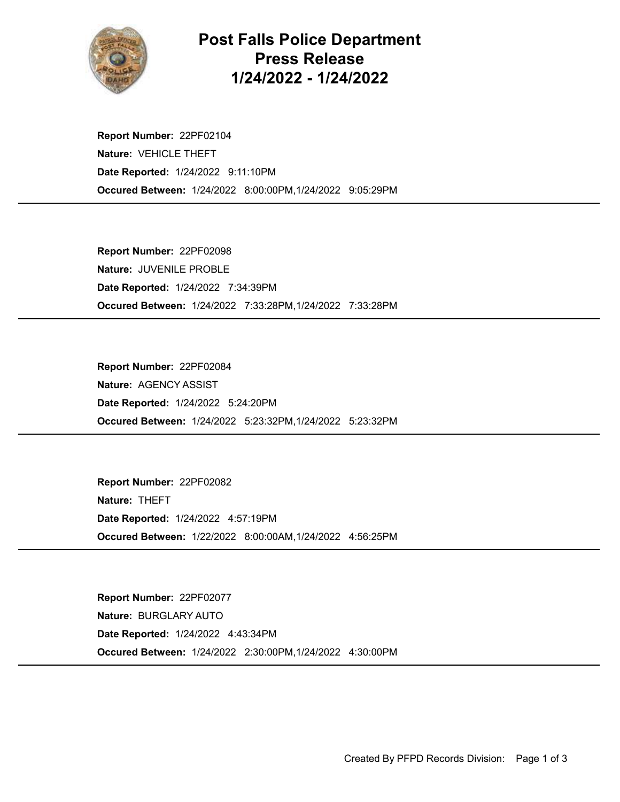

## Post Falls Police Department Press Release 1/24/2022 - 1/24/2022

Occured Between: 1/24/2022 8:00:00PM,1/24/2022 9:05:29PM Report Number: 22PF02104 Nature: VEHICLE THEFT Date Reported: 1/24/2022 9:11:10PM

Occured Between: 1/24/2022 7:33:28PM,1/24/2022 7:33:28PM Report Number: 22PF02098 Nature: JUVENILE PROBLE Date Reported: 1/24/2022 7:34:39PM

Occured Between: 1/24/2022 5:23:32PM,1/24/2022 5:23:32PM Report Number: 22PF02084 Nature: AGENCY ASSIST Date Reported: 1/24/2022 5:24:20PM

Occured Between: 1/22/2022 8:00:00AM,1/24/2022 4:56:25PM Report Number: 22PF02082 Nature: THEFT Date Reported: 1/24/2022 4:57:19PM

Occured Between: 1/24/2022 2:30:00PM,1/24/2022 4:30:00PM Report Number: 22PF02077 Nature: BURGLARY AUTO Date Reported: 1/24/2022 4:43:34PM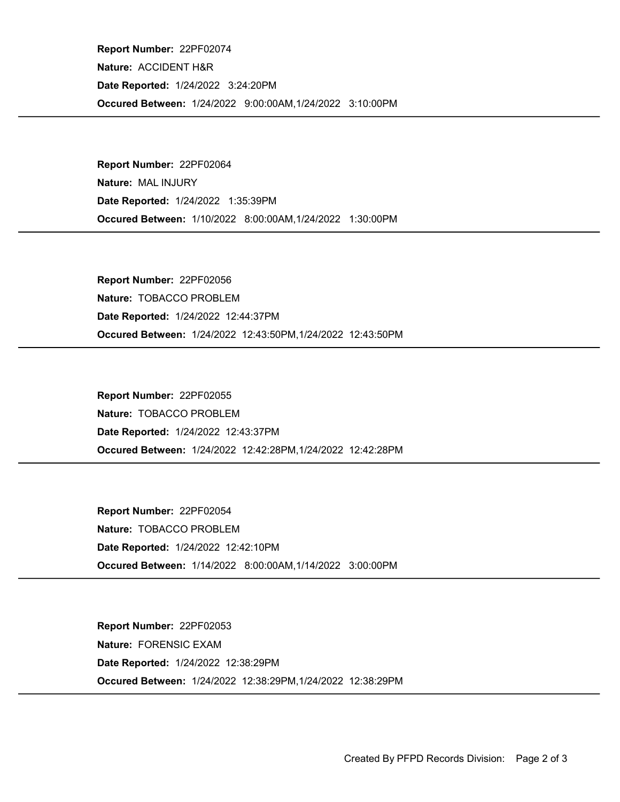Occured Between: 1/24/2022 9:00:00AM,1/24/2022 3:10:00PM Report Number: 22PF02074 Nature: ACCIDENT H&R Date Reported: 1/24/2022 3:24:20PM

Occured Between: 1/10/2022 8:00:00AM,1/24/2022 1:30:00PM Report Number: 22PF02064 Nature: MAL INJURY Date Reported: 1/24/2022 1:35:39PM

Occured Between: 1/24/2022 12:43:50PM,1/24/2022 12:43:50PM Report Number: 22PF02056 Nature: TOBACCO PROBLEM Date Reported: 1/24/2022 12:44:37PM

Occured Between: 1/24/2022 12:42:28PM,1/24/2022 12:42:28PM Report Number: 22PF02055 Nature: TOBACCO PROBLEM Date Reported: 1/24/2022 12:43:37PM

Occured Between: 1/14/2022 8:00:00AM,1/14/2022 3:00:00PM Report Number: 22PF02054 Nature: TOBACCO PROBLEM Date Reported: 1/24/2022 12:42:10PM

Occured Between: 1/24/2022 12:38:29PM,1/24/2022 12:38:29PM Report Number: 22PF02053 Nature: FORENSIC EXAM Date Reported: 1/24/2022 12:38:29PM